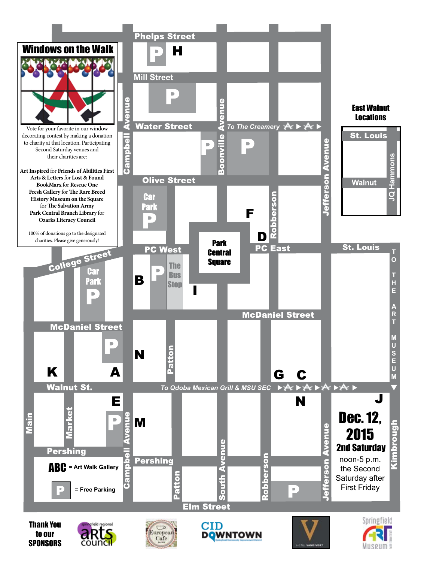